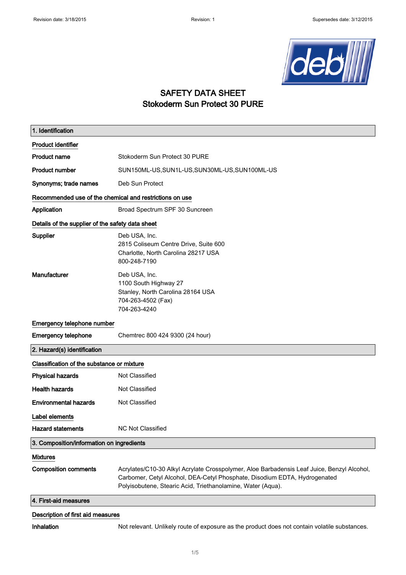

#### SAFETY DATA SHEET Stokoderm Sun Protect 30 PURE

| 1. Identification                                       |                                                                                                                                                                                                                                        |  |
|---------------------------------------------------------|----------------------------------------------------------------------------------------------------------------------------------------------------------------------------------------------------------------------------------------|--|
| <b>Product identifier</b>                               |                                                                                                                                                                                                                                        |  |
| <b>Product name</b>                                     | Stokoderm Sun Protect 30 PURE                                                                                                                                                                                                          |  |
| <b>Product number</b>                                   | SUN150ML-US, SUN1L-US, SUN30ML-US, SUN100ML-US                                                                                                                                                                                         |  |
| Synonyms; trade names                                   | Deb Sun Protect                                                                                                                                                                                                                        |  |
| Recommended use of the chemical and restrictions on use |                                                                                                                                                                                                                                        |  |
| Application                                             | Broad Spectrum SPF 30 Suncreen                                                                                                                                                                                                         |  |
| Details of the supplier of the safety data sheet        |                                                                                                                                                                                                                                        |  |
| Supplier                                                | Deb USA, Inc.<br>2815 Coliseum Centre Drive, Suite 600<br>Charlotte, North Carolina 28217 USA<br>800-248-7190                                                                                                                          |  |
| Manufacturer                                            | Deb USA, Inc.<br>1100 South Highway 27<br>Stanley, North Carolina 28164 USA<br>704-263-4502 (Fax)<br>704-263-4240                                                                                                                      |  |
| Emergency telephone number                              |                                                                                                                                                                                                                                        |  |
| <b>Emergency telephone</b>                              | Chemtrec 800 424 9300 (24 hour)                                                                                                                                                                                                        |  |
| 2. Hazard(s) identification                             |                                                                                                                                                                                                                                        |  |
| Classification of the substance or mixture              |                                                                                                                                                                                                                                        |  |
| <b>Physical hazards</b>                                 | <b>Not Classified</b>                                                                                                                                                                                                                  |  |
| <b>Health hazards</b>                                   | Not Classified                                                                                                                                                                                                                         |  |
| <b>Environmental hazards</b>                            | Not Classified                                                                                                                                                                                                                         |  |
| Label elements                                          |                                                                                                                                                                                                                                        |  |
| <b>Hazard statements</b>                                | <b>NC Not Classified</b>                                                                                                                                                                                                               |  |
| 3. Composition/information on ingredients               |                                                                                                                                                                                                                                        |  |
| <b>Mixtures</b>                                         |                                                                                                                                                                                                                                        |  |
| <b>Composition comments</b>                             | Acrylates/C10-30 Alkyl Acrylate Crosspolymer, Aloe Barbadensis Leaf Juice, Benzyl Alcohol,<br>Carbomer, Cetyl Alcohol, DEA-Cetyl Phosphate, Disodium EDTA, Hydrogenated<br>Polyisobutene, Stearic Acid, Triethanolamine, Water (Aqua). |  |
| 4. First-aid measures                                   |                                                                                                                                                                                                                                        |  |

#### Description of first aid measures

Inhalation Not relevant. Unlikely route of exposure as the product does not contain volatile substances.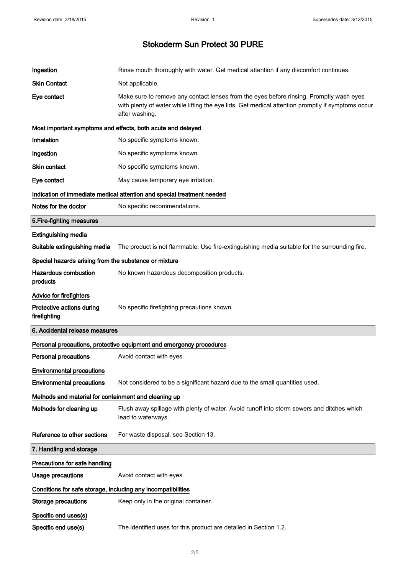| Ingestion                                                    | Rinse mouth thoroughly with water. Get medical attention if any discomfort continues.                                                                                                                          |  |  |
|--------------------------------------------------------------|----------------------------------------------------------------------------------------------------------------------------------------------------------------------------------------------------------------|--|--|
| <b>Skin Contact</b>                                          | Not applicable.                                                                                                                                                                                                |  |  |
| Eye contact                                                  | Make sure to remove any contact lenses from the eyes before rinsing. Promptly wash eyes<br>with plenty of water while lifting the eye lids. Get medical attention promptly if symptoms occur<br>after washing. |  |  |
|                                                              | Most important symptoms and effects, both acute and delayed                                                                                                                                                    |  |  |
| Inhalation                                                   | No specific symptoms known.                                                                                                                                                                                    |  |  |
| Ingestion                                                    | No specific symptoms known.                                                                                                                                                                                    |  |  |
| Skin contact                                                 | No specific symptoms known.                                                                                                                                                                                    |  |  |
| Eye contact                                                  | May cause temporary eye irritation.                                                                                                                                                                            |  |  |
|                                                              | Indication of immediate medical attention and special treatment needed                                                                                                                                         |  |  |
| Notes for the doctor                                         | No specific recommendations.                                                                                                                                                                                   |  |  |
| 5. Fire-fighting measures                                    |                                                                                                                                                                                                                |  |  |
| <b>Extinguishing media</b>                                   |                                                                                                                                                                                                                |  |  |
| Suitable extinguishing media                                 | The product is not flammable. Use fire-extinguishing media suitable for the surrounding fire.                                                                                                                  |  |  |
|                                                              | Special hazards arising from the substance or mixture                                                                                                                                                          |  |  |
| <b>Hazardous combustion</b><br>products                      | No known hazardous decomposition products.                                                                                                                                                                     |  |  |
| Advice for firefighters                                      |                                                                                                                                                                                                                |  |  |
| Protective actions during<br>firefighting                    | No specific firefighting precautions known.                                                                                                                                                                    |  |  |
| 6. Accidental release measures                               |                                                                                                                                                                                                                |  |  |
|                                                              | Personal precautions, protective equipment and emergency procedures                                                                                                                                            |  |  |
| <b>Personal precautions</b>                                  | Avoid contact with eyes.                                                                                                                                                                                       |  |  |
| <b>Environmental precautions</b>                             |                                                                                                                                                                                                                |  |  |
| <b>Environmental precautions</b>                             | Not considered to be a significant hazard due to the small quantities used.                                                                                                                                    |  |  |
| Methods and material for containment and cleaning up         |                                                                                                                                                                                                                |  |  |
| Methods for cleaning up                                      |                                                                                                                                                                                                                |  |  |
|                                                              | Flush away spillage with plenty of water. Avoid runoff into storm sewers and ditches which<br>lead to waterways.                                                                                               |  |  |
| Reference to other sections                                  | For waste disposal, see Section 13.                                                                                                                                                                            |  |  |
| 7. Handling and storage                                      |                                                                                                                                                                                                                |  |  |
| Precautions for safe handling                                |                                                                                                                                                                                                                |  |  |
| <b>Usage precautions</b>                                     | Avoid contact with eyes.                                                                                                                                                                                       |  |  |
| Conditions for safe storage, including any incompatibilities |                                                                                                                                                                                                                |  |  |
| <b>Storage precautions</b>                                   | Keep only in the original container.                                                                                                                                                                           |  |  |
| Specific end uses(s)                                         |                                                                                                                                                                                                                |  |  |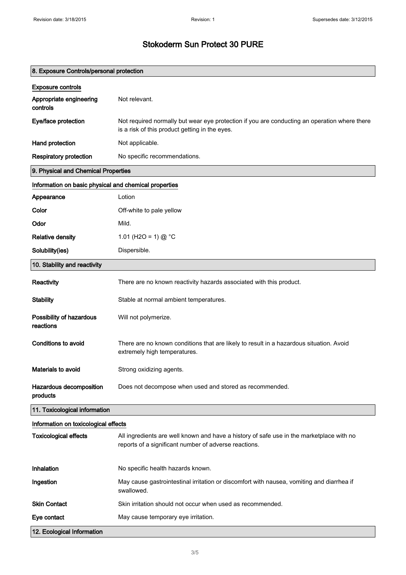| 8. Exposure Controls/personal protection              |                                                                                                                                                   |  |
|-------------------------------------------------------|---------------------------------------------------------------------------------------------------------------------------------------------------|--|
| <b>Exposure controls</b>                              |                                                                                                                                                   |  |
| Appropriate engineering<br>controls                   | Not relevant.                                                                                                                                     |  |
| Eye/face protection                                   | Not required normally but wear eye protection if you are conducting an operation where there<br>is a risk of this product getting in the eyes.    |  |
| Hand protection                                       | Not applicable.                                                                                                                                   |  |
| <b>Respiratory protection</b>                         | No specific recommendations.                                                                                                                      |  |
| 9. Physical and Chemical Properties                   |                                                                                                                                                   |  |
| Information on basic physical and chemical properties |                                                                                                                                                   |  |
| Appearance                                            | Lotion                                                                                                                                            |  |
| Color                                                 | Off-white to pale yellow                                                                                                                          |  |
| Odor                                                  | Mild.                                                                                                                                             |  |
| <b>Relative density</b>                               | 1.01 (H2O = 1) @ $^{\circ}$ C                                                                                                                     |  |
| Solubility(ies)                                       | Dispersible.                                                                                                                                      |  |
| 10. Stability and reactivity                          |                                                                                                                                                   |  |
| Reactivity                                            | There are no known reactivity hazards associated with this product.                                                                               |  |
| <b>Stability</b>                                      | Stable at normal ambient temperatures.                                                                                                            |  |
| Possibility of hazardous<br>reactions                 | Will not polymerize.                                                                                                                              |  |
| Conditions to avoid                                   | There are no known conditions that are likely to result in a hazardous situation. Avoid<br>extremely high temperatures.                           |  |
| Materials to avoid                                    | Strong oxidizing agents.                                                                                                                          |  |
| Hazardous decomposition<br>products                   | Does not decompose when used and stored as recommended.                                                                                           |  |
| 11. Toxicological information                         |                                                                                                                                                   |  |
| Information on toxicological effects                  |                                                                                                                                                   |  |
| <b>Toxicological effects</b>                          | All ingredients are well known and have a history of safe use in the marketplace with no<br>reports of a significant number of adverse reactions. |  |
| Inhalation                                            | No specific health hazards known.                                                                                                                 |  |
| Ingestion                                             | May cause gastrointestinal irritation or discomfort with nausea, vomiting and diarrhea if<br>swallowed.                                           |  |
| <b>Skin Contact</b>                                   | Skin irritation should not occur when used as recommended.                                                                                        |  |
| Eye contact                                           | May cause temporary eye irritation.                                                                                                               |  |
| 12. Ecological Information                            |                                                                                                                                                   |  |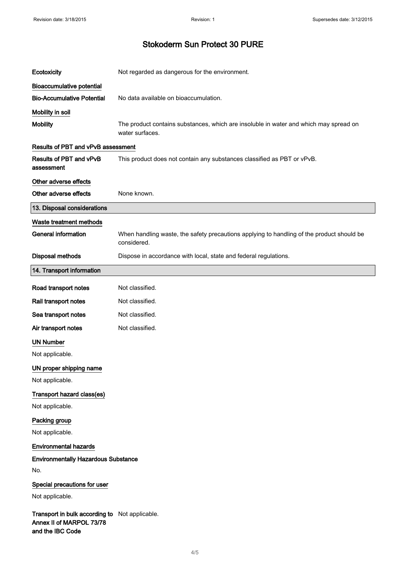| Ecotoxicity                                                                                    | Not regarded as dangerous for the environment.                                                           |
|------------------------------------------------------------------------------------------------|----------------------------------------------------------------------------------------------------------|
| <b>Bioaccumulative potential</b>                                                               |                                                                                                          |
| <b>Bio-Accumulative Potential</b>                                                              | No data available on bioaccumulation.                                                                    |
| Mobility in soil                                                                               |                                                                                                          |
| <b>Mobility</b>                                                                                | The product contains substances, which are insoluble in water and which may spread on<br>water surfaces. |
| <b>Results of PBT and vPvB assessment</b>                                                      |                                                                                                          |
| Results of PBT and vPvB<br>assessment                                                          | This product does not contain any substances classified as PBT or vPvB.                                  |
| Other adverse effects                                                                          |                                                                                                          |
| Other adverse effects                                                                          | None known.                                                                                              |
| 13. Disposal considerations                                                                    |                                                                                                          |
| Waste treatment methods                                                                        |                                                                                                          |
| <b>General information</b>                                                                     | When handling waste, the safety precautions applying to handling of the product should be<br>considered. |
| <b>Disposal methods</b>                                                                        | Dispose in accordance with local, state and federal regulations.                                         |
| 14. Transport information                                                                      |                                                                                                          |
| Road transport notes                                                                           | Not classified.                                                                                          |
| Rail transport notes                                                                           | Not classified.                                                                                          |
| Sea transport notes                                                                            | Not classified.                                                                                          |
| Air transport notes                                                                            | Not classified.                                                                                          |
| <b>UN Number</b>                                                                               |                                                                                                          |
| Not applicable.                                                                                |                                                                                                          |
| UN proper shipping name                                                                        |                                                                                                          |
| Not applicable.                                                                                |                                                                                                          |
| Transport hazard class(es)                                                                     |                                                                                                          |
| Not applicable.                                                                                |                                                                                                          |
| Packing group                                                                                  |                                                                                                          |
| Not applicable.                                                                                |                                                                                                          |
| <b>Environmental hazards</b>                                                                   |                                                                                                          |
| <b>Environmentally Hazardous Substance</b>                                                     |                                                                                                          |
| No.                                                                                            |                                                                                                          |
| Special precautions for user                                                                   |                                                                                                          |
| Not applicable.                                                                                |                                                                                                          |
| Transport in bulk according to Not applicable.<br>Annex II of MARPOL 73/78<br>and the IBC Code |                                                                                                          |